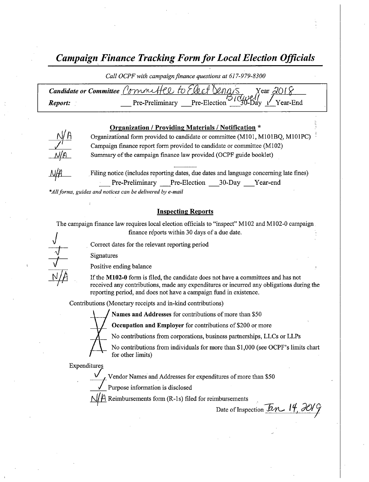# Campaign Finance Tracking Form for Local Election Officials

| Call OCPF with campaign finance questions at 617-979-8300                                                                            |  |
|--------------------------------------------------------------------------------------------------------------------------------------|--|
| Candidate or Committee Committee Committee Committee Committee Committee Committee Committee Committee to Elect Demnis Burgue (2018) |  |
|                                                                                                                                      |  |

#### Organization/ Providing Materials/ Notification



Organizational form provided to candidate or committee  $(M101, M101BO, M101PC)$ Campaign finance report form provided to candidate or committee (M102) Summary of the campaign finance law provided (OCPF guide booklet)

Filing notice (includes reporting dates, due dates and language concerning late fines) Pre-Preliminary Pre-Election 30-Day Year-end

\*All forms, guides and notices can be delivered by e-mail

#### Inspecting Reports

The campaign finance law requires local election officials to "inspect" M102 and M102-0 campaign. The campaign finance law requires local election officials to "inspect" N<br>
finance reports within 30 days of a due date.

Correct dates for the relevant reporting period

Signatures



Positive ending balance

If the M102-0 form is filed, the candidate does not have a committees and has not received any contributions, made any expenditures or incurred any obligations during the reporting period, and does not have a campaign fund in existence.

Contributions( Monetary receipts and in-kind contributions)

v

Names and Addresses for contributions of more than \$50

Occupation and Employer for contributions of \$200 or more

No contributions from corporations, business partnerships, LLCs or LLPs

No contributions from individuals for more than \$1,000 (see OCPF's limits chart for other limits)

Expenditures

Vendor Names' and Addresses for expenditures of more than\$ 50

Purpose information is disclosed

 $\frac{\mu}{\sqrt{2}}$  Reimbursements form (R-1s) filed for reimbursements

nbursements<br>Date of Inspection  $\overline{\mathcal{L}}\mathcal{M}$  14,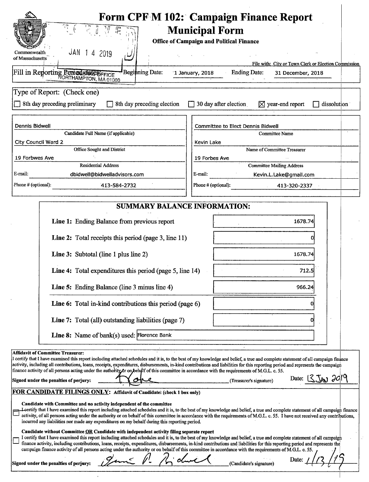|                                  | $\mathbb{R}^n$<br>्रि                                                                                                                                                                                                                                | <b>Municipal Form</b>                                                                                                                                                                                                                                                                                                                                                                                                             |
|----------------------------------|------------------------------------------------------------------------------------------------------------------------------------------------------------------------------------------------------------------------------------------------------|-----------------------------------------------------------------------------------------------------------------------------------------------------------------------------------------------------------------------------------------------------------------------------------------------------------------------------------------------------------------------------------------------------------------------------------|
|                                  |                                                                                                                                                                                                                                                      | <b>Office of Campaign and Political Finance</b>                                                                                                                                                                                                                                                                                                                                                                                   |
| Commonwealth<br>of Massachusetts | JAN 1 4 2019                                                                                                                                                                                                                                         |                                                                                                                                                                                                                                                                                                                                                                                                                                   |
|                                  |                                                                                                                                                                                                                                                      | File with: City or Town Clerk or Election Commission                                                                                                                                                                                                                                                                                                                                                                              |
|                                  | <b>Beginning Date:</b><br>Fill in Reporting Pumoded ACSFFICE                                                                                                                                                                                         | <b>Ending Date:</b><br>1 January, 2018<br>31 December, 2018                                                                                                                                                                                                                                                                                                                                                                       |
|                                  | Type of Report: (Check one)                                                                                                                                                                                                                          |                                                                                                                                                                                                                                                                                                                                                                                                                                   |
|                                  | 8th day preceding preliminary<br>8th day preceding election                                                                                                                                                                                          | $\Box$ 30 day after election<br>$\boxtimes$ year-end report<br>dissolution                                                                                                                                                                                                                                                                                                                                                        |
|                                  |                                                                                                                                                                                                                                                      |                                                                                                                                                                                                                                                                                                                                                                                                                                   |
| Dennis Bidwell                   |                                                                                                                                                                                                                                                      | <b>Committee to Elect Dennis Bidwell</b>                                                                                                                                                                                                                                                                                                                                                                                          |
|                                  | Candidate Full Name (if applicable)                                                                                                                                                                                                                  | Committee Name                                                                                                                                                                                                                                                                                                                                                                                                                    |
|                                  | City Council Ward 2<br>Office Sought and District                                                                                                                                                                                                    | Kevin Lake<br>Name of Committee Treasurer                                                                                                                                                                                                                                                                                                                                                                                         |
| 19 Forbwes Ave                   |                                                                                                                                                                                                                                                      | 19 Forbes Ave                                                                                                                                                                                                                                                                                                                                                                                                                     |
|                                  | <b>Residential Address</b>                                                                                                                                                                                                                           | <b>Committee Mailing Address</b>                                                                                                                                                                                                                                                                                                                                                                                                  |
| E-mail:                          | dbidwell@bidwelladvisors.com                                                                                                                                                                                                                         | E-mail:<br>Kevin.L.Lake@gmail.com                                                                                                                                                                                                                                                                                                                                                                                                 |
| Phone # (optional):              | 413-584-2732                                                                                                                                                                                                                                         | Phone # (optional):<br>413-320-2337                                                                                                                                                                                                                                                                                                                                                                                               |
|                                  | <b>SUMMARY BALANCE INFORMATION:</b>                                                                                                                                                                                                                  |                                                                                                                                                                                                                                                                                                                                                                                                                                   |
|                                  |                                                                                                                                                                                                                                                      |                                                                                                                                                                                                                                                                                                                                                                                                                                   |
|                                  | Line 1: Ending Balance from previous report                                                                                                                                                                                                          | 1678.74                                                                                                                                                                                                                                                                                                                                                                                                                           |
|                                  | Line 2: Total receipts this period (page 3, line 11)                                                                                                                                                                                                 |                                                                                                                                                                                                                                                                                                                                                                                                                                   |
|                                  | Line 3: Subtotal (line 1 plus line 2)                                                                                                                                                                                                                | 1678.74                                                                                                                                                                                                                                                                                                                                                                                                                           |
|                                  | Line 4: Total expenditures this period (page 5, line 14)                                                                                                                                                                                             | 712.5                                                                                                                                                                                                                                                                                                                                                                                                                             |
|                                  | <b>Line 5:</b> Ending Balance (line 3 minus line 4)                                                                                                                                                                                                  | 966.24                                                                                                                                                                                                                                                                                                                                                                                                                            |
|                                  | Line 6: Total in-kind contributions this period (page 6)                                                                                                                                                                                             |                                                                                                                                                                                                                                                                                                                                                                                                                                   |
|                                  | Line 7: Total (all) outstanding liabilities (page 7)                                                                                                                                                                                                 |                                                                                                                                                                                                                                                                                                                                                                                                                                   |
|                                  | Line 8: Name of bank(s) used: Florence Bank                                                                                                                                                                                                          |                                                                                                                                                                                                                                                                                                                                                                                                                                   |
|                                  | <b>Affidavit of Committee Treasurer:</b><br>finance activity of all persons acting under the authority or on behalf of this committee in accordance with the requirements of M.G.L. c. 55.<br>Signed under the penalties of perjury:                 | I certify that I have examined this report including attached schedules and it is, to the best of my knowledge and belief, a true and complete statement of all campaign finance<br>activity, including all contributions, loans, receipts, expenditures, disbursements, in-kind contributions and liabilities for this reporting period and represents the campaign<br>Date: $15 \text{ J}$ AN $3019$<br>(Treasurer's signature) |
|                                  | FOR CANDIDATE FILINGS ONLY: Affidavit of Candidate: (check 1 box only)                                                                                                                                                                               |                                                                                                                                                                                                                                                                                                                                                                                                                                   |
|                                  | Candidate with Committee and no activity independent of the committee<br>incurred any liabilities nor made any expenditures on my behalf during this reporting period.                                                                               | Leertify that I have examined this report including attached schedules and it is, to the best of my knowledge and belief, a true and complete statement of all campaign finance<br>activity, of all persons acting under the authority or on behalf of this committee in accordance with the requirements of M.G.L. c. 55. I have not received any contributions,                                                                 |
|                                  | Candidate without Committee OR Candidate with independent activity filing separate report<br>campaign finance activity of all persons acting under the authority or on behalf of this committee in accordance with the requirements of M.G.L. c. 55. | I certify that I have examined this report including attached schedules and it is, to the best of my knowledge and belief, a true and complete statement of all campaign<br>finance activity, including contributions, loans, receipts, expenditures, disbursements, in-kind contributions and liabilities for this reporting period and represents the                                                                           |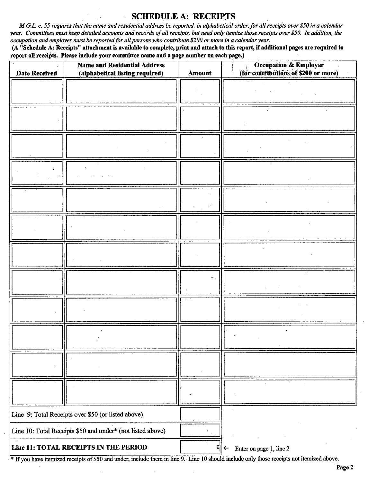#### SCHEDULE A: RECEIPTS

M.G.L. c. 55 requires that the name and residential address be reported, in alphabetical order, for all receipts over \$50 in a calendar year. Committees must keep detailed accounts and records of all receipts, but need only itemize those receipts over \$50. In addition, the occupation and employer must be reported for all persons who contribute \$200 or more in a calendar year.

A" Schedule A: Receipts" attachment is available to complete, print and attach to this report, ifadditional pages are required to report all receipts. Please include your committee name and a page number on each page.)

| <b>Name and Residential Address</b><br>(alphabetical listing required)<br><b>Date Received</b> |                                                            | <b>Amount</b>        | <b>Occupation &amp; Employer</b><br>(for contributions of \$200 or more) |  |
|------------------------------------------------------------------------------------------------|------------------------------------------------------------|----------------------|--------------------------------------------------------------------------|--|
|                                                                                                |                                                            |                      |                                                                          |  |
|                                                                                                |                                                            |                      |                                                                          |  |
|                                                                                                |                                                            |                      |                                                                          |  |
|                                                                                                |                                                            |                      |                                                                          |  |
|                                                                                                |                                                            |                      |                                                                          |  |
|                                                                                                |                                                            |                      |                                                                          |  |
|                                                                                                |                                                            |                      |                                                                          |  |
|                                                                                                |                                                            |                      |                                                                          |  |
|                                                                                                |                                                            |                      |                                                                          |  |
|                                                                                                |                                                            |                      |                                                                          |  |
|                                                                                                |                                                            |                      |                                                                          |  |
|                                                                                                |                                                            |                      |                                                                          |  |
|                                                                                                | Line 9: Total Receipts over \$50 (or listed above)         |                      |                                                                          |  |
|                                                                                                | Line 10: Total Receipts \$50 and under* (not listed above) | $\ddot{\phantom{1}}$ |                                                                          |  |
|                                                                                                | Line 11: TOTAL RECEIPTS IN THE PERIOD                      | 이                    | Enter on page 1, line 2<br>$\leftarrow$                                  |  |

<sup>1</sup> If you have itemized receipts of \$50 and under, include them in line 9. Line 10 should include only those receipts not itemized above.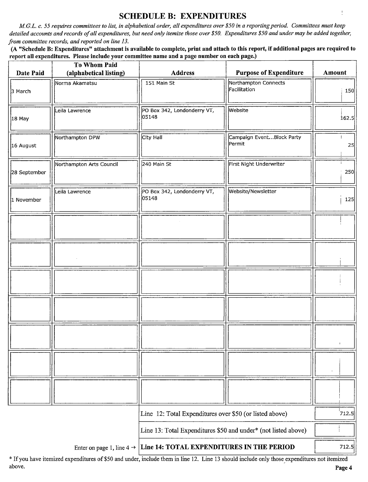### SCHEDULE B: EXPENDITURES

 $\frac{1}{2}$ 

M.G.L. c. 55 requires committees to list, in alphabetical order, all expenditures over \$50 in a reporting period. Committees must keep detailed accounts and records of all expenditures, but need only itemize those over \$50. Expenditures \$50 and under may be added together, from committee records, and reported on line 13.

A " Schedule B: Expenditures" attachment is available to complete, print and attach to this report, if additional pages are required to report all expenditures. Please include your committee name and a page number on each page.)

| Date Paid    | <b>To Whom Paid</b><br>(alphabetical listing) | <b>Address</b>                                                                  | <b>Purpose of Expenditure</b> | Amount |
|--------------|-----------------------------------------------|---------------------------------------------------------------------------------|-------------------------------|--------|
|              | Norma Akamatsu                                | 151 Main St                                                                     | Northampton Connects          |        |
| 3 March      |                                               |                                                                                 | Facilitation                  | 150    |
|              |                                               |                                                                                 |                               |        |
|              | Leila Lawrence                                | PO Box 342, Londonderry VT,                                                     | Website                       |        |
| 18 May       |                                               | 05148                                                                           |                               | 162.5  |
|              |                                               |                                                                                 |                               |        |
|              | Northampton DPW                               | City Hall                                                                       | Campaign EventBlock Party     | 1      |
| 16 August    |                                               |                                                                                 | Permit                        | 25     |
|              |                                               |                                                                                 |                               |        |
| 28 September | Northampton Arts Council                      | 240 Main St                                                                     | First Night Underwriter       | 250    |
|              |                                               |                                                                                 |                               |        |
|              | Leila Lawrence                                | PO Box 342, Londonderry VT,                                                     | Website/Newsletter            |        |
| 1 November   |                                               | 05148                                                                           |                               | $125$  |
|              |                                               |                                                                                 |                               |        |
|              |                                               |                                                                                 |                               |        |
|              |                                               |                                                                                 |                               |        |
|              |                                               |                                                                                 |                               |        |
|              |                                               |                                                                                 |                               |        |
|              |                                               |                                                                                 |                               |        |
|              |                                               |                                                                                 |                               |        |
|              |                                               |                                                                                 |                               |        |
|              |                                               |                                                                                 |                               |        |
|              |                                               |                                                                                 |                               |        |
|              |                                               |                                                                                 |                               |        |
|              |                                               |                                                                                 |                               |        |
|              |                                               |                                                                                 |                               |        |
|              |                                               |                                                                                 |                               |        |
|              |                                               |                                                                                 |                               |        |
|              |                                               |                                                                                 |                               |        |
|              |                                               |                                                                                 |                               |        |
|              |                                               |                                                                                 |                               |        |
|              |                                               |                                                                                 |                               |        |
|              |                                               |                                                                                 |                               |        |
|              |                                               |                                                                                 |                               |        |
|              |                                               | Line 12: Total Expenditures over \$50 (or listed above)                         |                               | 712.5  |
|              |                                               | Line 13: Total Expenditures \$50 and under* (not listed above)                  |                               |        |
|              |                                               | Enter on page 1, line $4 \rightarrow$ Line 14: TOTAL EXPENDITURES IN THE PERIOD |                               | 712.5  |
|              |                                               |                                                                                 |                               |        |

If you have itemized expenditures of\$50 and under, include them in line 12. Line <sup>13</sup> should include only those expenditures not itemized above. Page 4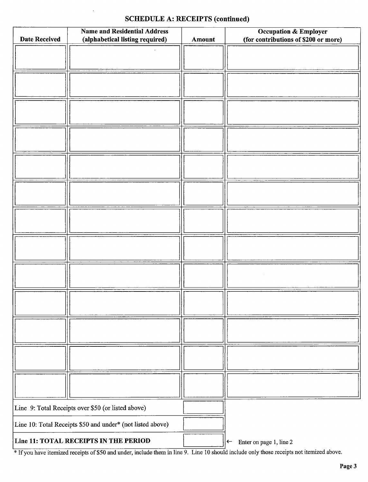### SCHEDULE A: RECEIPTS (continued)

| <b>Date Received</b> | <b>Name and Residential Address</b><br>(alphabetical listing required) | Amount | <b>Occupation &amp; Employer</b><br>(for contributions of \$200 or more) |  |
|----------------------|------------------------------------------------------------------------|--------|--------------------------------------------------------------------------|--|
|                      |                                                                        |        |                                                                          |  |
|                      |                                                                        |        |                                                                          |  |
|                      |                                                                        |        |                                                                          |  |
|                      |                                                                        |        |                                                                          |  |
|                      |                                                                        |        |                                                                          |  |
|                      |                                                                        |        |                                                                          |  |
|                      |                                                                        |        |                                                                          |  |
|                      |                                                                        |        |                                                                          |  |
|                      |                                                                        |        |                                                                          |  |
|                      |                                                                        |        |                                                                          |  |
|                      |                                                                        |        |                                                                          |  |
|                      |                                                                        |        |                                                                          |  |
|                      |                                                                        |        |                                                                          |  |
|                      |                                                                        |        |                                                                          |  |
|                      |                                                                        |        |                                                                          |  |
|                      |                                                                        |        |                                                                          |  |
|                      |                                                                        |        |                                                                          |  |
|                      |                                                                        |        |                                                                          |  |
|                      |                                                                        |        |                                                                          |  |
|                      |                                                                        |        |                                                                          |  |
|                      |                                                                        |        |                                                                          |  |
|                      | Line 9: Total Receipts over \$50 (or listed above)                     |        |                                                                          |  |
|                      | Line 10: Total Receipts \$50 and under* (not listed above)             |        |                                                                          |  |
|                      | Line 11: TOTAL RECEIPTS IN THE PERIOD                                  |        | Enter on page 1, line 2<br>$\rightarrow$                                 |  |

<sup>\*</sup> If you have itemized receipts of \$50 and under, include them in line 9. Line 10 should include only those receipts not itemized above.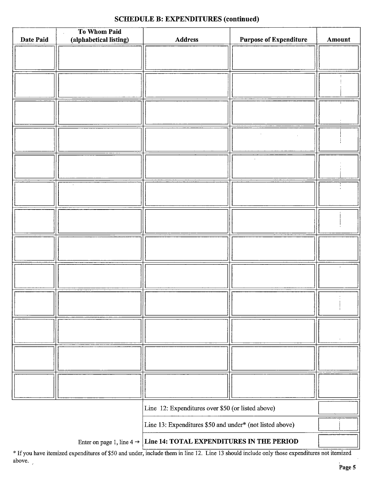### SCHEDULE B: EXPENDITURES (continued)

| Date Paid | To Whom Paid           | <b>Address</b>                                           | <b>Purpose of Expenditure</b> | Amount       |
|-----------|------------------------|----------------------------------------------------------|-------------------------------|--------------|
|           | (alphabetical listing) |                                                          |                               |              |
|           |                        |                                                          |                               |              |
|           |                        |                                                          |                               |              |
|           |                        |                                                          |                               |              |
|           |                        |                                                          |                               |              |
|           |                        |                                                          |                               |              |
|           |                        |                                                          |                               |              |
|           |                        |                                                          |                               |              |
|           |                        |                                                          |                               |              |
|           |                        |                                                          |                               |              |
|           |                        |                                                          |                               |              |
|           |                        |                                                          |                               |              |
|           |                        |                                                          |                               |              |
|           |                        |                                                          |                               |              |
|           |                        |                                                          |                               |              |
|           |                        |                                                          |                               |              |
|           |                        |                                                          |                               |              |
|           |                        |                                                          |                               |              |
|           |                        |                                                          |                               |              |
|           |                        |                                                          |                               |              |
|           |                        |                                                          |                               |              |
|           |                        |                                                          |                               |              |
|           |                        |                                                          |                               |              |
|           |                        |                                                          |                               |              |
|           |                        |                                                          |                               |              |
|           |                        |                                                          |                               |              |
|           |                        |                                                          |                               |              |
|           |                        |                                                          |                               |              |
|           |                        |                                                          |                               |              |
|           |                        |                                                          |                               | $\mathbf{t}$ |
|           |                        |                                                          |                               |              |
|           |                        |                                                          |                               |              |
|           |                        |                                                          |                               |              |
|           |                        |                                                          |                               |              |
|           |                        |                                                          |                               |              |
|           |                        |                                                          |                               |              |
|           |                        | Line 12: Expenditures over \$50 (or listed above)        |                               |              |
|           |                        | Line 13: Expenditures \$50 and under* (not listed above) |                               |              |
|           |                        |                                                          |                               |              |

Enter on page 1, line  $4 \rightarrow$  Line 14: TOTAL EXPENDITURES IN THE PERIOD

If you have itemized expenditures of\$50 and under, include them in line 12. Line <sup>13</sup> should include only those expenditures not itemized above.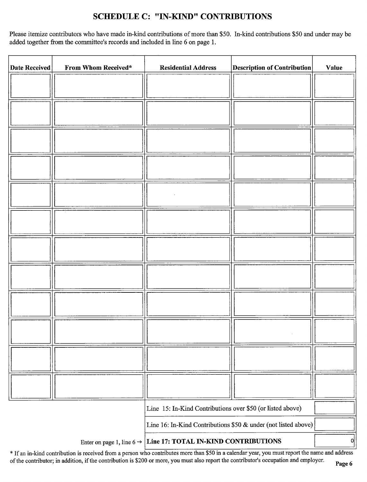## SCHEDULE C: "IN-KIND" CONTRIBUTIONS

Please itemize contributors who have made in-kind contributions of more than \$50. In-kind contributions \$50 and under may be added together from the committee's records and included in line 6 on page 1.

| <b>Date Received</b> | From Whom Received* | <b>Residential Address</b>                                                 | $ $ Description of Contribution $ $ | <b>Value</b> |
|----------------------|---------------------|----------------------------------------------------------------------------|-------------------------------------|--------------|
|                      |                     |                                                                            |                                     |              |
|                      |                     |                                                                            |                                     |              |
|                      |                     |                                                                            |                                     |              |
|                      |                     |                                                                            |                                     |              |
|                      |                     |                                                                            |                                     |              |
|                      |                     |                                                                            |                                     |              |
|                      |                     |                                                                            |                                     |              |
|                      |                     |                                                                            |                                     |              |
|                      |                     |                                                                            |                                     |              |
|                      |                     |                                                                            |                                     |              |
|                      |                     |                                                                            |                                     |              |
|                      |                     |                                                                            |                                     |              |
|                      |                     |                                                                            |                                     |              |
|                      |                     |                                                                            |                                     |              |
|                      |                     |                                                                            |                                     |              |
|                      |                     |                                                                            |                                     |              |
|                      |                     |                                                                            |                                     |              |
|                      |                     |                                                                            |                                     |              |
|                      |                     |                                                                            |                                     |              |
|                      |                     |                                                                            |                                     |              |
|                      |                     |                                                                            |                                     |              |
|                      |                     | Line 15: In-Kind Contributions over \$50 (or listed above)                 |                                     |              |
|                      |                     | Line 16: In-Kind Contributions \$50 & under (not listed above)             |                                     |              |
|                      |                     | Enter on page 1, line $6 \rightarrow$ Line 17: TOTAL IN-KIND CONTRIBUTIONS |                                     | 이            |

\* If an in-kind contribution is received from a person who contributes more than \$50 in a calendar year, you must report the name and address of the contributor; in addition, if the contribution is \$200 or more, you must also report the contributor's occupation and employer.